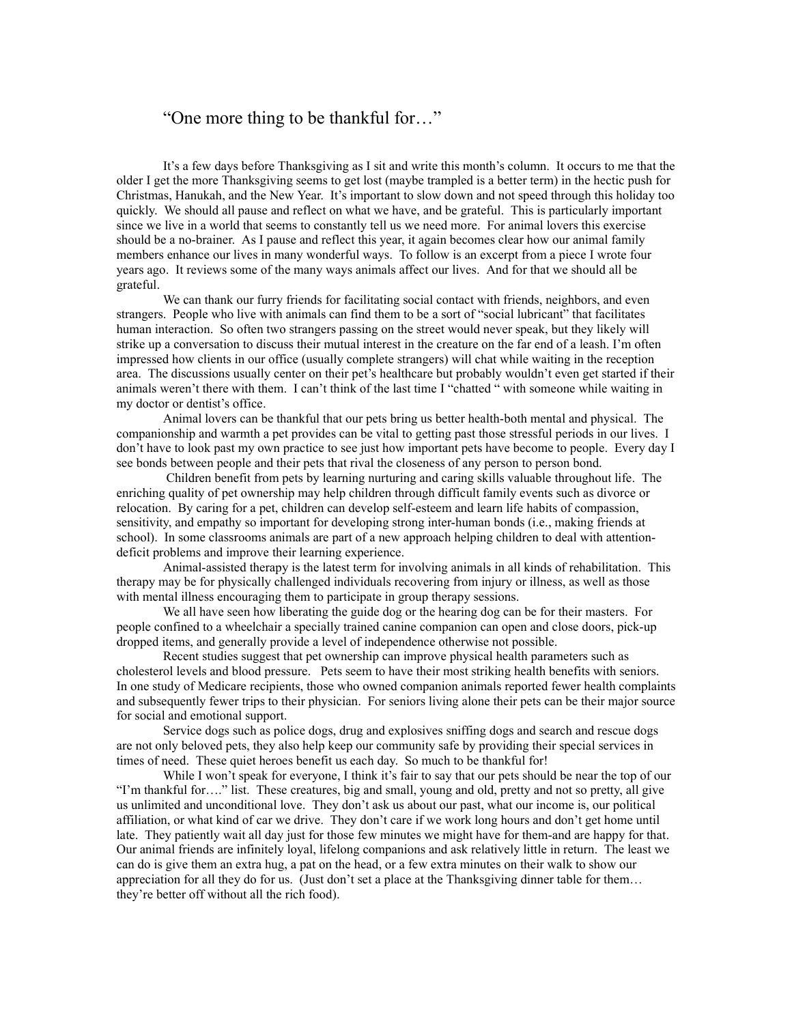## "One more thing to be thankful for…"

It's a few days before Thanksgiving as I sit and write this month's column. It occurs to me that the older I get the more Thanksgiving seems to get lost (maybe trampled is a better term) in the hectic push for Christmas, Hanukah, and the New Year. It's important to slow down and not speed through this holiday too quickly. We should all pause and reflect on what we have, and be grateful. This is particularly important since we live in a world that seems to constantly tell us we need more. For animal lovers this exercise should be a no-brainer. As I pause and reflect this year, it again becomes clear how our animal family members enhance our lives in many wonderful ways. To follow is an excerpt from a piece I wrote four years ago. It reviews some of the many ways animals affect our lives. And for that we should all be grateful.

We can thank our furry friends for facilitating social contact with friends, neighbors, and even strangers. People who live with animals can find them to be a sort of "social lubricant" that facilitates human interaction. So often two strangers passing on the street would never speak, but they likely will strike up a conversation to discuss their mutual interest in the creature on the far end of a leash. I'm often impressed how clients in our office (usually complete strangers) will chat while waiting in the reception area. The discussions usually center on their pet's healthcare but probably wouldn't even get started if their animals weren't there with them. I can't think of the last time I "chatted " with someone while waiting in my doctor or dentist's office.

Animal lovers can be thankful that our pets bring us better health-both mental and physical. The companionship and warmth a pet provides can be vital to getting past those stressful periods in our lives. I don't have to look past my own practice to see just how important pets have become to people. Every day I see bonds between people and their pets that rival the closeness of any person to person bond.

 Children benefit from pets by learning nurturing and caring skills valuable throughout life. The enriching quality of pet ownership may help children through difficult family events such as divorce or relocation. By caring for a pet, children can develop self-esteem and learn life habits of compassion, sensitivity, and empathy so important for developing strong inter-human bonds (i.e., making friends at school). In some classrooms animals are part of a new approach helping children to deal with attentiondeficit problems and improve their learning experience.

Animal-assisted therapy is the latest term for involving animals in all kinds of rehabilitation. This therapy may be for physically challenged individuals recovering from injury or illness, as well as those with mental illness encouraging them to participate in group therapy sessions.

We all have seen how liberating the guide dog or the hearing dog can be for their masters. For people confined to a wheelchair a specially trained canine companion can open and close doors, pick-up dropped items, and generally provide a level of independence otherwise not possible.

Recent studies suggest that pet ownership can improve physical health parameters such as cholesterol levels and blood pressure. Pets seem to have their most striking health benefits with seniors. In one study of Medicare recipients, those who owned companion animals reported fewer health complaints and subsequently fewer trips to their physician. For seniors living alone their pets can be their major source for social and emotional support.

Service dogs such as police dogs, drug and explosives sniffing dogs and search and rescue dogs are not only beloved pets, they also help keep our community safe by providing their special services in times of need. These quiet heroes benefit us each day. So much to be thankful for!

While I won't speak for everyone, I think it's fair to say that our pets should be near the top of our "I'm thankful for…." list. These creatures, big and small, young and old, pretty and not so pretty, all give us unlimited and unconditional love. They don't ask us about our past, what our income is, our political affiliation, or what kind of car we drive. They don't care if we work long hours and don't get home until late. They patiently wait all day just for those few minutes we might have for them-and are happy for that. Our animal friends are infinitely loyal, lifelong companions and ask relatively little in return. The least we can do is give them an extra hug, a pat on the head, or a few extra minutes on their walk to show our appreciation for all they do for us. (Just don't set a place at the Thanksgiving dinner table for them… they're better off without all the rich food).